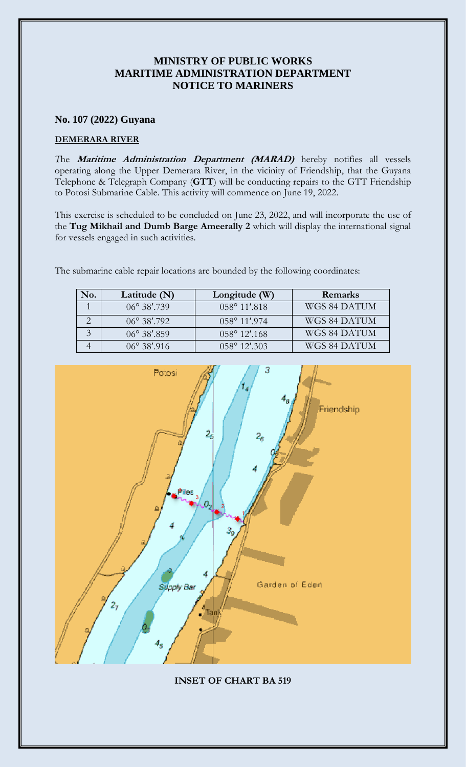## **MINISTRY OF PUBLIC WORKS MARITIME ADMINISTRATION DEPARTMENT NOTICE TO MARINERS**

## **No. 107 (2022) Guyana**

## **DEMERARA RIVER**

*T*he **Maritime Administration Department (MARAD)** hereby notifies all vessels operating along the Upper Demerara River, in the vicinity of Friendship, that the Guyana Telephone & Telegraph Company (**GTT**) will be conducting repairs to the GTT Friendship to Potosi Submarine Cable. This activity will commence on June 19, 2022.

This exercise is scheduled to be concluded on June 23, 2022, and will incorporate the use of the **Tug Mikhail and Dumb Barge Ameerally 2** which will display the international signal for vessels engaged in such activities.

The submarine cable repair locations are bounded by the following coordinates:

| No.           | Latitude $(N)$       | Longitude (W)            | Remarks      |
|---------------|----------------------|--------------------------|--------------|
|               | $06^{\circ}$ 38'.739 | $0.58^{\circ}$ 11'.818   | WGS 84 DATUM |
|               | $06^{\circ}$ 38'.792 | $058^{\circ}$ 11'.974    | WGS 84 DATUM |
| $\mathcal{Z}$ | $06^{\circ}$ 38'.859 | $058^{\circ} 12'$ .168   | WGS 84 DATUM |
|               | $06^{\circ}$ 38'.916 | $0.58^{\circ} 12' 0.303$ | WGS 84 DATUM |



**INSET OF CHART BA 519**